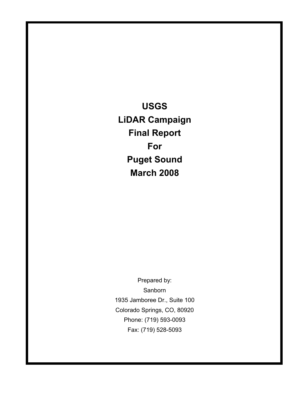**USGS LiDAR Campaign Final Report For Puget Sound March 2008**

Prepared by: **Sanborn** 1935 Jamboree Dr., Suite 100 Colorado Springs, CO, 80920 Phone: (719) 593-0093 Fax: (719) 528-5093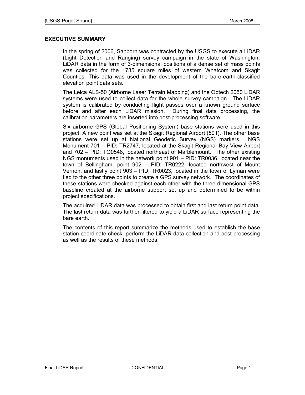## **EXECUTIVE SUMMARY**

In the spring of 2006, Sanborn was contracted by the USGS to execute a LiDAR (Light Detection and Ranging) survey campaign in the state of Washington. LiDAR data in the form of 3-dimensional positions of a dense set of mass points was collected for the 1735 square miles of western Whatcom and Skagit Counties. This data was used in the development of the bare-earth-classified elevation point data sets.

The Leica ALS-50 (Airborne Laser Terrain Mapping) and the Optech 2050 LiDAR systems were used to collect data for the whole survey campaign. The LiDAR system is calibrated by conducting flight passes over a known ground surface before and after each LiDAR mission. During final data processing, the calibration parameters are inserted into post-processing software.

Six airborne GPS (Global Positioning System) base stations were used in this project. A new point was set at the Skagit Regional Airport (501). The other base stations were set up at National Geodetic Survey (NGS) markers. NGS Monument 701 – PID: TR2747, located at the Skagit Regional Bay View Airport and 702 – PID: TQ0548, located northeast of Marblemount. The other existing NGS monuments used in the network point 901 – PID: TR0036, located near the town of Bellingham, point 902 – PID: TR0222, located northwest of Mount Vernon, and lastly point 903 – PID: TR0023, located in the town of Lyman were tied to the other three points to create a GPS survey network. The coordinates of these stations were checked against each other with the three dimensional GPS baseline created at the airborne support set up and determined to be within project specifications.

The acquired LiDAR data was processed to obtain first and last return point data. The last return data was further filtered to yield a LiDAR surface representing the bare earth.

The contents of this report summarize the methods used to establish the base station coordinate check, perform the LiDAR data collection and post-processing as well as the results of these methods.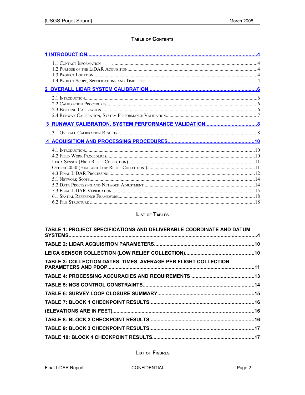## TABLE OF CONTENTS

# **LIST OF TABLES**

| TABLE 1: PROJECT SPECIFICATIONS AND DELIVERABLE COORDINATE AND DATUM |  |
|----------------------------------------------------------------------|--|
|                                                                      |  |
|                                                                      |  |
| TABLE 3: COLLECTION DATES, TIMES, AVERAGE PER FLIGHT COLLECTION      |  |
|                                                                      |  |
|                                                                      |  |
|                                                                      |  |
|                                                                      |  |
|                                                                      |  |
|                                                                      |  |
|                                                                      |  |
|                                                                      |  |

**LIST OF FIGURES**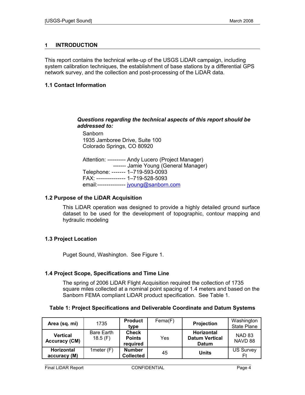## <span id="page-5-0"></span>**1 INTRODUCTION**

This report contains the technical write-up of the USGS LiDAR campaign, including system calibration techniques, the establishment of base stations by a differential GPS network survey, and the collection and post-processing of the LiDAR data.

## **1.1 Contact Information**

## *Questions regarding the technical aspects of this report should be addressed to:*

Sanborn 1935 Jamboree Drive, Suite 100 Colorado Springs, CO 80920

Attention: ---------- Andy Lucero (Project Manager) ------- Jamie Young (General Manager) Telephone: ------- 1–719-593-0093 FAX: --------------- 1–719-528-5093 email:--------------- [jyoung@sanborn.com](mailto:jyoung@sanborn.com)

## **1.2 Purpose of the LiDAR Acquisition**

This LiDAR operation was designed to provide a highly detailed ground surface dataset to be used for the development of topographic, contour mapping and hydraulic modeling

## **1.3 Project Location**

Puget Sound, Washington. See Figure 1.

## **1.4 Project Scope, Specifications and Time Line**

The spring of 2006 LiDAR Flight Acquisition required the collection of 1735 square miles collected at a nominal point spacing of 1.4 meters and based on the Sanborn FEMA compliant LiDAR product specification. See Table 1.

## **Table 1: Project Specifications and Deliverable Coordinate and Datum Systems**

| Area (sq. mi)                           | 1735                  | <b>Product</b><br>type                    | Fema(F) | Projection                                          | Washington<br><b>State Plane</b> |
|-----------------------------------------|-----------------------|-------------------------------------------|---------|-----------------------------------------------------|----------------------------------|
| <b>Vertical</b><br><b>Accuracy (CM)</b> | Bare Earth<br>18.5(F) | <b>Check</b><br><b>Points</b><br>required | Yes     | Horizontal<br><b>Datum Vertical</b><br><b>Datum</b> | <b>NAD 83</b><br>NAVD 88         |
| <b>Horizontal</b><br>accuracy (M)       | 1 meter $(F)$         | <b>Number</b><br><b>Collected</b>         | 45      | <b>Units</b>                                        | <b>US Survey</b><br>Ft           |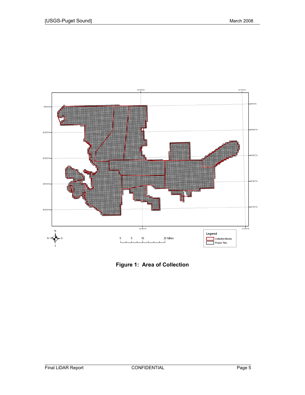

**Figure 1: Area of Collection**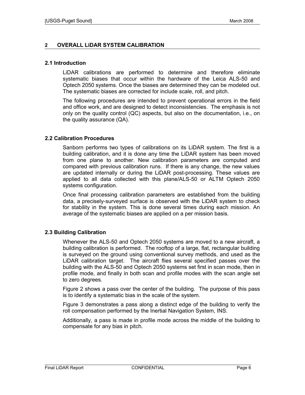## <span id="page-7-0"></span>**2 OVERALL LiDAR SYSTEM CALIBRATION**

#### **2.1 Introduction**

LiDAR calibrations are performed to determine and therefore eliminate systematic biases that occur within the hardware of the Leica ALS-50 and Optech 2050 systems. Once the biases are determined they can be modeled out. The systematic biases are corrected for include scale, roll, and pitch.

The following procedures are intended to prevent operational errors in the field and office work, and are designed to detect inconsistencies. The emphasis is not only on the quality control (QC) aspects, but also on the documentation, i.e., on the quality assurance (QA).

## **2.2 Calibration Procedures**

Sanborn performs two types of calibrations on its LiDAR system. The first is a building calibration, and it is done any time the LiDAR system has been moved from one plane to another. New calibration parameters are computed and compared with previous calibration runs. If there is any change, the new values are updated internally or during the LiDAR post-processing. These values are applied to all data collected with this plane/ALS-50 or ALTM Optech 2050 systems configuration.

Once final processing calibration parameters are established from the building data, a precisely-surveyed surface is observed with the LiDAR system to check for stability in the system. This is done several times during each mission. An average of the systematic biases are applied on a per mission basis.

## **2.3 Building Calibration**

Whenever the ALS-50 and Optech 2050 systems are moved to a new aircraft, a building calibration is performed. The rooftop of a large, flat, rectangular building is surveyed on the ground using conventional survey methods, and used as the LiDAR calibration target. The aircraft flies several specified passes over the building with the ALS-50 and Optech 2050 systems set first in scan mode, then in profile mode, and finally in both scan and profile modes with the scan angle set to zero degrees.

Figure 2 shows a pass over the center of the building. The purpose of this pass is to identify a systematic bias in the scale of the system.

Figure 3 demonstrates a pass along a distinct edge of the building to verify the roll compensation performed by the Inertial Navigation System, INS.

Additionally, a pass is made in profile mode across the middle of the building to compensate for any bias in pitch.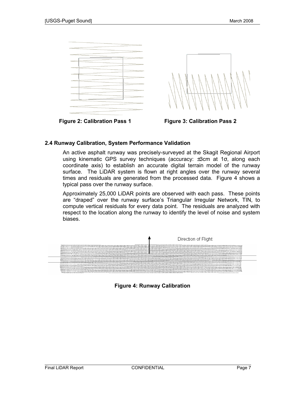



## **2.4 Runway Calibration, System Performance Validation**

An active asphalt runway was precisely-surveyed at the Skagit Regional Airport using kinematic GPS survey techniques (accuracy: ±3cm at 1σ, along each coordinate axis) to establish an accurate digital terrain model of the runway surface. The LiDAR system is flown at right angles over the runway several times and residuals are generated from the processed data. Figure 4 shows a typical pass over the runway surface.

Approximately 25,000 LiDAR points are observed with each pass. These points are "draped" over the runway surface's Triangular Irregular Network, TIN, to compute vertical residuals for every data point. The residuals are analyzed with respect to the location along the runway to identify the level of noise and system biases.



**Figure 4: Runway Calibration**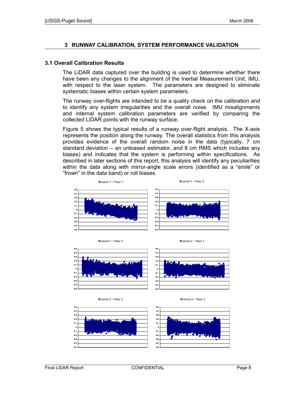## <span id="page-9-0"></span>**3 RUNWAY CALIBRATION, SYSTEM PERFORMANCE VALIDATION**

#### **3.1 Overall Calibration Results**

The LiDAR data captured over the building is used to determine whether there have been any changes to the alignment of the Inertial Measurement Unit, IMU, with respect to the laser system. The parameters are designed to eliminate systematic biases within certain system parameters.

The runway over-flights are intended to be a quality check on the calibration and to identify any system irregularities and the overall noise. IMU misalignments and internal system calibration parameters are verified by comparing the collected LiDAR points with the runway surface.

Figure 5 shows the typical results of a runway over-flight analysis. The X-axis represents the position along the runway. The overall statistics from this analysis provides evidence of the overall random noise in the data (typically, 7 cm standard deviation – an unbiased estimator, and 8 cm RMS which includes any biases) and indicates that the system is performing within specifications. As described in later sections of this report, this analysis will identify any peculiarities within the data along with mirror-angle scale errors (identified as a "smile" or "frown" in the data band) or roll biases.



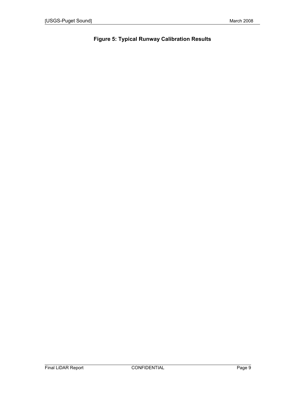# **Figure 5: Typical Runway Calibration Results**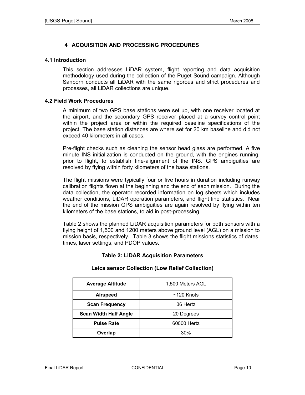## <span id="page-11-0"></span>**4 ACQUISITION AND PROCESSING PROCEDURES**

#### **4.1 Introduction**

This section addresses LiDAR system, flight reporting and data acquisition methodology used during the collection of the Puget Sound campaign. Although Sanborn conducts all LiDAR with the same rigorous and strict procedures and processes, all LiDAR collections are unique.

#### **4.2 Field Work Procedures**

A minimum of two GPS base stations were set up, with one receiver located at the airport, and the secondary GPS receiver placed at a survey control point within the project area or within the required baseline specifications of the project. The base station distances are where set for 20 km baseline and did not exceed 40 kilometers in all cases.

Pre-flight checks such as cleaning the sensor head glass are performed. A five minute INS initialization is conducted on the ground, with the engines running, prior to flight, to establish fine-alignment of the INS. GPS ambiguities are resolved by flying within forty kilometers of the base stations.

The flight missions were typically four or five hours in duration including runway calibration flights flown at the beginning and the end of each mission. During the data collection, the operator recorded information on log sheets which includes weather conditions, LiDAR operation parameters, and flight line statistics. Near the end of the mission GPS ambiguities are again resolved by flying within ten kilometers of the base stations, to aid in post-processing.

Table 2 shows the planned LiDAR acquisition parameters for both sensors with a flying height of 1,500 and 1200 meters above ground level (AGL) on a mission to mission basis, respectively. Table 3 shows the flight missions statistics of dates, times, laser settings, and PDOP values.

## **Table 2: LiDAR Acquisition Parameters**

#### **Leica sensor Collection (Low Relief Collection)**

| <b>Average Altitude</b>      | 1,500 Meters AGL |  |  |  |  |
|------------------------------|------------------|--|--|--|--|
| <b>Airspeed</b>              | $~120$ Knots     |  |  |  |  |
| <b>Scan Frequency</b>        | 36 Hertz         |  |  |  |  |
| <b>Scan Width Half Angle</b> | 20 Degrees       |  |  |  |  |
| <b>Pulse Rate</b>            | 60000 Hertz      |  |  |  |  |
| Overlap                      | 30%              |  |  |  |  |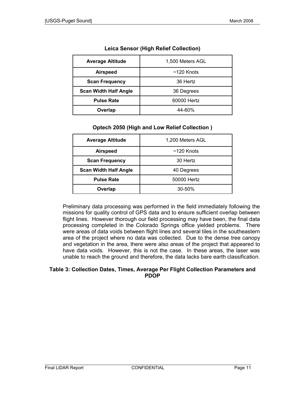| <b>Average Altitude</b>      | 1,500 Meters AGL |  |  |  |  |
|------------------------------|------------------|--|--|--|--|
| <b>Airspeed</b>              | $~120$ Knots     |  |  |  |  |
| <b>Scan Frequency</b>        | 36 Hertz         |  |  |  |  |
| <b>Scan Width Half Angle</b> | 36 Degrees       |  |  |  |  |
| <b>Pulse Rate</b>            | 60000 Hertz      |  |  |  |  |
| Overlap                      | 44-60%           |  |  |  |  |

## **Leica Sensor (High Relief Collection)**

## **Optech 2050 (High and Low Relief Collection )**

| <b>Average Altitude</b>      | 1,200 Meters AGL |  |  |  |  |
|------------------------------|------------------|--|--|--|--|
| <b>Airspeed</b>              | $~120$ Knots     |  |  |  |  |
| <b>Scan Frequency</b>        | 30 Hertz         |  |  |  |  |
| <b>Scan Width Half Angle</b> | 40 Degrees       |  |  |  |  |
| <b>Pulse Rate</b>            | 50000 Hertz      |  |  |  |  |
| Overlap                      | 30-50%           |  |  |  |  |

Preliminary data processing was performed in the field immediately following the missions for quality control of GPS data and to ensure sufficient overlap between flight lines. However thorough our field processing may have been, the final data processing completed in the Colorado Springs office yielded problems. There were areas of data voids between flight lines and several tiles in the southeastern area of the project where no data was collected. Due to the dense tree canopy and vegetation in the area, there were also areas of the project that appeared to have data voids. However, this is not the case. In these areas, the laser was unable to reach the ground and therefore, the data lacks bare earth classification.

#### **Table 3: Collection Dates, Times, Average Per Flight Collection Parameters and PDOP**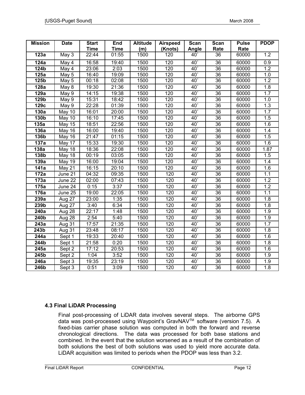| <b>Mission</b>     | <b>Date</b>   | <b>Start</b>       | End         | <b>Altitude</b> | <b>Airspeed</b> | Scan       | <b>Scan</b>     | <b>Pulse</b> | <b>PDOP</b>      |
|--------------------|---------------|--------------------|-------------|-----------------|-----------------|------------|-----------------|--------------|------------------|
|                    |               | <b>Time</b>        | <b>Time</b> | (m)             | (Knots)         | Angle      | Rate            | Rate         |                  |
| 123a               | May 3         | 22:44              | 01:55       | 1500            | 120             | $40^\circ$ | 36              | 60000        | 1.2              |
| 124a               | May 4         | 16:58              | 19:40       | 1500            | 120             | $40^\circ$ | 36              | 60000        | 0.9              |
| 124b               | May 4         | 23:06              | 2:03        | 1500            | 120             | $40^\circ$ | 36              | 60000        | 1.2              |
| 125a               | May 5         | 16:40              | 19:09       | 1500            | 120             | $40^\circ$ | 36              | 60000        | 1.0              |
| 125b               | May 5         | 00:18              | 02:08       | 1500            | 120             | $40^\circ$ | 36              | 60000        | 1.2              |
| 128a               | May 8         | 19:30              | 21:36       | 1500            | 120             | $40^\circ$ | 36              | 60000        | 1.8              |
| 129a               | May 9         | 14:15              | 19:38       | 1500            | 120             | $40^\circ$ | 36              | 60000        | 1.7              |
| 129b               | May 9         | 15:31              | 18:42       | 1500            | 120             | $40^\circ$ | 36              | 60000        | 1.0              |
| 129c               | May 9         | 22:28              | 01:39       | 1500            | 120             | $40^\circ$ | 36              | 60000        | $\overline{1.3}$ |
| 130a               | <b>May 10</b> | 16:01              | 20:00       | 1500            | 120             | $40^\circ$ | 36              | 60000        | 1.7              |
| <b>130b</b>        | <b>May 10</b> | 16:10              | 17:45       | 1500            | 120             | $40^\circ$ | 36              | 60000        | 1.5              |
| 135a               | <b>May 15</b> | 18:51              | 22:56       | 1500            | 120             | $40^\circ$ | 36              | 60000        | 1.6              |
| 136a               | <b>May 16</b> | 16:00              | 19:40       | 1500            | 120             | $40^\circ$ | 36              | 60000        | 1.4              |
| 136b               | <b>May 16</b> | $\overline{2}1:47$ | 01:15       | 1500            | 120             | $40^\circ$ | 36              | 60000        | 1.5              |
| 137a               | May 17        | 15:33              | 19:30       | 1500            | 120             | $40^\circ$ | 36              | 60000        | 1.6              |
| 138a               | <b>May 18</b> | 18:36              | 22:08       | 1500            | 120             | $40^\circ$ | 36              | 60000        | 1.87             |
| 138b               | <b>May 18</b> | 00:19              | 03:05       | 1500            | 120             | $40^\circ$ | 36              | 60000        | 1.5              |
| 139a               | <b>May 19</b> | 16:00              | 19:04       | 1500            | 120             | $40^\circ$ | 36              | 60000        | 1.4              |
| 141a               | May 21        | 16:15              | 20:10       | 1500            | 120             | $40^\circ$ | 36              | 60000        | 1.6              |
| 172a               | June 21       | 04:32              | 09:35       | 1500            | 120             | $40^\circ$ | 36              | 60000        | 1.1              |
| 173a               | June 22       | 02:00              | 07:43       | 1500            | 120             | $40^\circ$ | 36              | 60000        | 1.2              |
| 175a               | June 24       | 0:15               | 3:37        | 1500            | 120             | $40^\circ$ | 36              | 60000        | 1.2              |
| 176a               | June 25       | 19:00              | 22:05       | 1500            | 120             | $40^\circ$ | 36              | 60000        | $\overline{1.1}$ |
| 239a               | Aug 27        | 23:00              | 1:35        | 1500            | 120             | $40^\circ$ | 36              | 60000        | 1.8              |
| 239b               | Aug 27        | 3:40               | 6:34        | 1500            | 120             | $40^\circ$ | $\overline{36}$ | 60000        | 1.8              |
| 240a               | Aug 28        | 22:17              | 1:48        | 1500            | 120             | $40^\circ$ | $\overline{36}$ | 60000        | $\overline{1.9}$ |
| 240b               | Aug 28        | 2:54               | 5:40        | 1500            | 120             | $40^\circ$ | 36              | 60000        | 1.9              |
| 243a               | Aug 31        | 17:57              | 21:35       | 1500            | 120             | $40^\circ$ | $\overline{36}$ | 60000        | 1.7              |
| 243b               | Aug 31        | 23:48              | 08:17       | 1500            | 120             | $40^\circ$ | $\overline{36}$ | 60000        | 1.8              |
| 244a               | Sept 1        | 19:33              | 20:40       | 1500            | 120             | $40^\circ$ | 36              | 60000        | 1.6              |
| 244b               | Sept 1        | 21:58              | 0:20        | 1500            | 120             | $40^\circ$ | $\overline{36}$ | 60000        | 1.8              |
| 245a               | Sept 2        | 17:12              | 20:53       | 1500            | 120             | $40^\circ$ | $\overline{36}$ | 60000        | 1.6              |
| 245b               | Sept 2        | 1:04               | 3:52        | 1500            | 120             | $40^\circ$ | 36              | 60000        | 1.9              |
| 246a               | Sept 3        | 19:35              | 23:19       | 1500            | 120             | $40^\circ$ | $\overline{36}$ | 60000        | 1.9              |
| $\overline{2}$ 46b | Sept 3        | 0:51               | 3:09        | 1500            | 120             | $40^\circ$ | $\overline{36}$ | 60000        | $\overline{1.8}$ |

## **4.3 Final LiDAR Processing**

Final post-processing of LiDAR data involves several steps. The airborne GPS data was post-processed using Waypoint's GravNAVTM software (version 7.5). A fixed-bias carrier phase solution was computed in both the forward and reverse chronological directions. The data was processed for both base stations and combined. In the event that the solution worsened as a result of the combination of both solutions the best of both solutions was used to yield more accurate data. LiDAR acquisition was limited to periods when the PDOP was less than 3.2.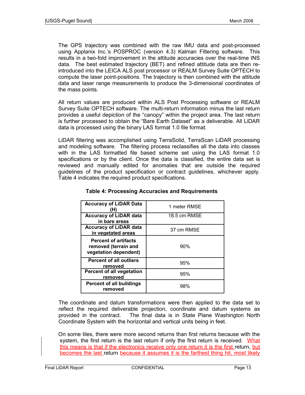The GPS trajectory was combined with the raw IMU data and post-processed using Applanix Inc.'s POSPROC (version 4.3) Kalman Filtering software. This results in a two-fold improvement in the attitude accuracies over the real-time INS data. The best estimated trajectory (BET) and refined attitude data are then reintroduced into the LEICA ALS post processor or REALM Survey Suite OPTECH to compute the laser point-positions. The trajectory is then combined with the attitude data and laser range measurements to produce the 3-dimensional coordinates of the mass points.

All return values are produced within ALS Post Processing software or REALM Survey Suite OPTECH software. The multi-return information minus the last return provides a useful depiction of the "canopy" within the project area. The last return is further processed to obtain the "Bare Earth Dataset" as a deliverable. All LiDAR data is processed using the binary LAS format 1.0 file format.

LiDAR filtering was accomplished using TerraSolid, TerraScan LiDAR processing and modeling software. The filtering process reclassifies all the data into classes with in the LAS formatted file based scheme set using the LAS format 1.0 specifications or by the client. Once the data is classified, the entire data set is reviewed and manually edited for anomalies that are outside the required guidelines of the product specification or contract guidelines, whichever apply. Table 4 indicates the required product specifications.

| <b>Accuracy of LiDAR Data</b><br>(H)                                         | 1 meter RMSE |
|------------------------------------------------------------------------------|--------------|
| <b>Accuracy of LiDAR data</b><br>in bare areas                               | 18.5 cm RMSE |
| <b>Accuracy of LiDAR data</b><br>in vegetated areas                          | 37 cm RMSE   |
| <b>Percent of artifacts</b><br>removed (terrain and<br>vegetation dependent) | 90%          |
| <b>Percent of all outliers</b><br>removed                                    | 95%          |
| <b>Percent of all vegetation</b><br>removed                                  | 95%          |
| <b>Percent of all buildings</b><br>removed                                   | 98%          |

## **Table 4: Processing Accuracies and Requirements**

The coordinate and datum transformations were then applied to the data set to reflect the required deliverable projection, coordinate and datum systems as provided in the contract. The final data is in State Plane Washington North Coordinate System with the horizontal and vertical units being in feet.

On some tiles, there were more second returns than first returns because with the system, the first return is the last return if only the first return is received. What this means is that if the electronics receive only one return it is the first return, but becomes the last return because it assumes it is the farthest thing hit, most likely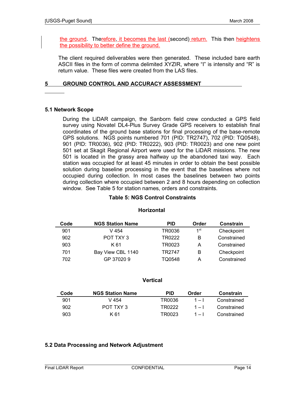the ground. Therefore, it becomes the last (second) return. This then heightens the possibility to better define the ground.

The client required deliverables were then generated. These included bare earth ASCII files in the form of comma delimited XYZIR, where "I" is intensity and "R" is return value. These files were created from the LAS files.

## **5 GROUND CONTROL AND ACCURACY ASSESSMENT**

## **5.1 Network Scope**

During the LiDAR campaign, the Sanborn field crew conducted a GPS field survey using Novatel DL4-Plus Survey Grade GPS receivers to establish final coordinates of the ground base stations for final processing of the base-remote GPS solutions. NGS points numbered 701 (PID: TR2747), 702 (PID: TQ0548), 901 (PID: TR0036), 902 (PID: TR0222), 903 (PID: TR0023) and one new point 501 set at Skagit Regional Airport were used for the LiDAR missions. The new 501 is located in the grassy area halfway up the abandoned taxi way. Each station was occupied for at least 45 minutes in order to obtain the best possible solution during baseline processing in the event that the baselines where not occupied during collection. In most cases the baselines between two points during collection where occupied between 2 and 8 hours depending on collection window. See Table 5 for station names, orders and constraints.

## **Table 5: NGS Control Constraints**

| Code | <b>NGS Station Name</b> | <b>PID</b> | Order | Constrain   |
|------|-------------------------|------------|-------|-------------|
| 901  | V 454                   | TR0036     | 1st   | Checkpoint  |
| 902  | POT TXY 3               | TR0222     | B     | Constrained |
| 903  | K 61                    | TR0023     | А     | Constrained |
| 701  | Bay View CBL 1140       | TR2747     | В     | Checkpoint  |
| 702  | GP 370209               | TQ0548     | А     | Constrained |

## **Horizontal**

## **Vertical**

| Code | <b>NGS Station Name</b> | PID    | Order   | Constrain   |
|------|-------------------------|--------|---------|-------------|
| 901  | V 454                   | TR0036 | $1 - 1$ | Constrained |
| 902  | POT TXY 3               | TR0222 | $1 - 1$ | Constrained |
| 903  | K 61                    | TR0023 | $1 - 1$ | Constrained |

## **5.2 Data Processing and Network Adjustment**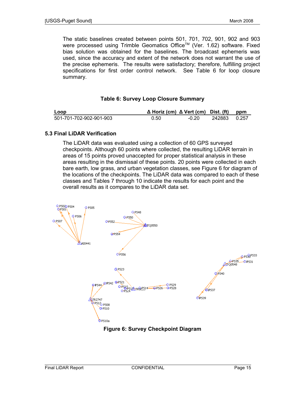The static baselines created between points 501, 701, 702, 901, 902 and 903 were processed using Trimble Geomatics Office™ (Ver. 1.62) software. Fixed bias solution was obtained for the baselines. The broadcast ephemeris was used, since the accuracy and extent of the network does not warrant the use of the precise ephemeris. The results were satisfactory; therefore, fulfilling project specifications for first order control network. See Table 6 for loop closure summary.

## **Table 6: Survey Loop Closure Summary**

| Loop                    | $\Delta$ Horiz (cm) $\Delta$ Vert (cm) Dist. (ft) ppm |         |                |  |
|-------------------------|-------------------------------------------------------|---------|----------------|--|
| 501-701-702-902-901-903 | 0.50                                                  | $-0.20$ | 242883   0.257 |  |

## **5.3 Final LiDAR Verification**

The LiDAR data was evaluated using a collection of 60 GPS surveyed checkpoints. Although 60 points where collected, the resulting LiDAR terrain in areas of 15 points proved unaccepted for proper statistical analysis in these areas resulting in the dismissal of these points. 20 points were collected in each bare earth, low grass, and urban vegetation classes, see Figure 6 for diagram of the locations of the checkpoints. The LiDAR data was compared to each of these classes and Tables 7 through 10 indicate the results for each point and the overall results as it compares to the LiDAR data set.



**Figure 6: Survey Checkpoint Diagram**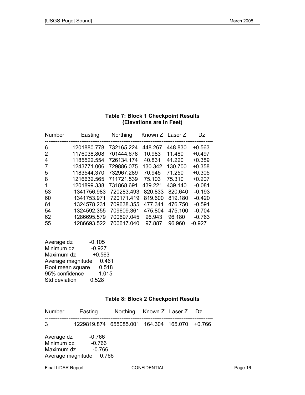| (Elevations are in Feet) |            |         |         |                 |
|--------------------------|------------|---------|---------|-----------------|
| Easting                  | Northing   |         |         | Dz              |
| 1201880.778              | 732165.224 | 448.267 | 448.830 | $+0.563$        |
| 1176038.808              | 701444.678 | 10.983  | 11.480  | $+0.497$        |
| 1185522.554              | 726134.174 | 40.831  | 41.220  | $+0.389$        |
| 1243771.006              | 729886.075 | 130.342 | 130.700 | $+0.358$        |
| 1183544.370              | 732967.289 | 70.945  | 71.250  | $+0.305$        |
| 1216632.565              | 711721.539 | 75.103  | 75.310  | $+0.207$        |
| 1201899.338              | 731868.691 | 439.221 | 439.140 | $-0.081$        |
| 1341756.983              | 720283.493 | 820.833 | 820.640 | $-0.193$        |
| 1341753.971              | 720171.419 | 819,600 | 819.180 | $-0.420$        |
| 1324578.231              | 709638.355 | 477.341 | 476.750 | $-0.591$        |
| 1324592.355              | 709609.361 | 475.804 | 475.100 | $-0.704$        |
| 1286695.579              | 700697.045 | 96.943  | 96.180  | $-0.763$        |
| 1286693.522              | 700617.040 | 97.887  | 96.960  | $-0.927$        |
|                          |            |         |         | Known Z Laser Z |

## **Table 7: Block 1 Checkpoint Results (Elevations are in Feet)**

| Average dz        | $-0.105$ |
|-------------------|----------|
| Minimum dz        | $-0.927$ |
| Maximum dz        | $+0.563$ |
| Average magnitude | 0.461    |
| Root mean square  | 0.518    |
| 95% confidence    | 1.015    |
| Std deviation     | 0.528    |

## **Table 8: Block 2 Checkpoint Results**

| Number                   | Easting                                       | Northing Known Z Laser Z Dz |  |  |
|--------------------------|-----------------------------------------------|-----------------------------|--|--|
| 3.                       | 1229819.874 655085.001 164.304 165.070 +0.766 |                             |  |  |
| Average dz<br>Minimum dz | -0.766<br>-0.766                              |                             |  |  |
| Maximum dz               | $-0.766$<br>Average magnitude 0.766           |                             |  |  |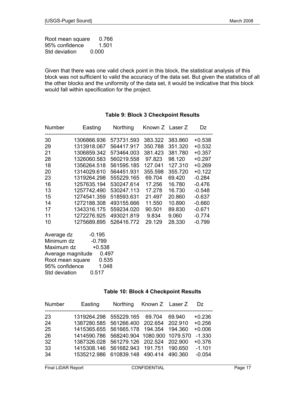Root mean square 0.766 95% confidence 1.501 Std deviation 0.000

Given that there was one valid check point in this block, the statistical analysis of this block was not sufficient to valid the accuracy of the data set. But given the statistics of all the other blocks and the uniformity of the data set, it would be indicative that this block would fall within specification for the project.

| Number                 | Easting                    | <b>Northing</b> | Known Z Laser Z |         | Dz       |  |
|------------------------|----------------------------|-----------------|-----------------|---------|----------|--|
| 30                     | 1306866.936                | 573731.593      | 383.322         | 383.860 | $+0.538$ |  |
| 29                     | 1313918.067                | 564417.917      | 350.788         | 351.320 | $+0.532$ |  |
| 21                     | 1306859.342                | 573464.003      | 381.423         | 381.780 | $+0.357$ |  |
| 28                     | 1326060.583                | 560219.558      | 97.823          | 98.120  | $+0.297$ |  |
| 18                     | 1356264.518                | 561595.185      | 127.041         | 127.310 | $+0.269$ |  |
| 20                     | 1314029.610                | 564451.931      | 355.598         | 355.720 | $+0.122$ |  |
| 23                     | 1319264.298                | 555229.165      | 69.704          | 69.420  | $-0.284$ |  |
| 16                     | 1257635.194                | 530247.614      | 17.256          | 16.780  | $-0.476$ |  |
| 13                     | 1257742.490                | 530247.113      | 17.278          | 16.730  | $-0.548$ |  |
| 15                     | 1274541.359                | 518593.631      | 21.497          | 20.860  | $-0.637$ |  |
| 14                     | 1272188.308                | 493155.666      | 11.550          | 10.890  | $-0.660$ |  |
| 17                     | 1343316.175                | 559234.020      | 90.501          | 89.830  | $-0.671$ |  |
| 11                     | 1272276.925                | 493021.819      | 9.834           | 9.060   | $-0.774$ |  |
| 10                     | 1275689.895                | 526416.772      | 29.129          | 28.330  | $-0.799$ |  |
| Average dz             | $-0.195$                   |                 |                 |         |          |  |
| Minimum dz<br>$-0.799$ |                            |                 |                 |         |          |  |
| $+0.538$<br>Maximum dz |                            |                 |                 |         |          |  |
|                        | 0.497<br>Average magnitude |                 |                 |         |          |  |

## **Table 9: Block 3 Checkpoint Results**

95% confidence 1.048 Std deviation 0.517

Root mean square 0.535

#### **Table 10: Block 4 Checkpoint Results**

| Number | Easting                                  | <b>Northing</b> | Known Z Laser Z |        | Dz.      |
|--------|------------------------------------------|-----------------|-----------------|--------|----------|
| 23     | 1319264.298 555229.165 69.704            |                 |                 | 69.940 | $+0.236$ |
| 24     | 1387280.585 561266.400 202.654 202.910   |                 |                 |        | $+0.256$ |
| 25     | 1415365.655 561665.178 194.354 194.360   |                 |                 |        | $+0.006$ |
| 26     | 1414590.786 568240.904 1080.900 1079.570 |                 |                 |        | $-1.330$ |
| 32     | 1387326.028 561279.126 202.524 202.900   |                 |                 |        | $+0.376$ |
| 33     | 1415308.146 561682.943 191.751 190.650   |                 |                 |        | $-1.101$ |
| 34     | 1535212.986 610839.148 490.414 490.360   |                 |                 |        | $-0.054$ |
|        |                                          |                 |                 |        |          |